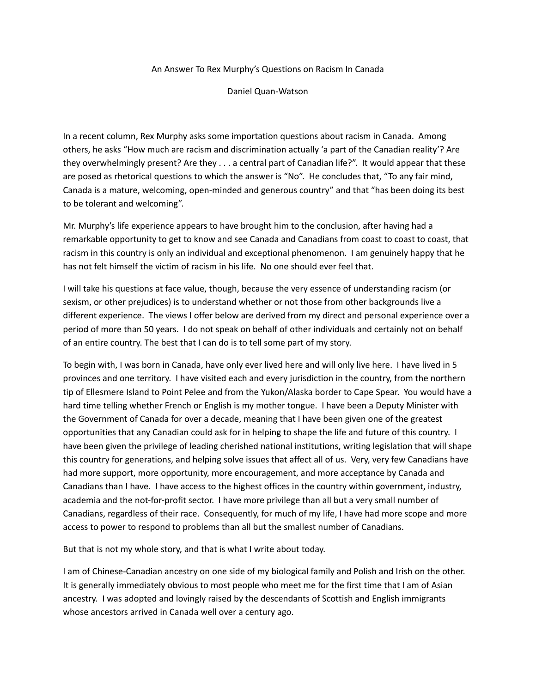An Answer To Rex Murphy's Questions on Racism In Canada

Daniel Quan-Watson

In a recent column, Rex Murphy asks some importation questions about racism in Canada. Among others, he asks "How much are racism and discrimination actually 'a part of the Canadian reality'? Are they overwhelmingly present? Are they . . . a central part of Canadian life?". It would appear that these are posed as rhetorical questions to which the answer is "No". He concludes that, "To any fair mind, Canada is a mature, welcoming, open-minded and generous country" and that "has been doing its best to be tolerant and welcoming".

Mr. Murphy's life experience appears to have brought him to the conclusion, after having had a remarkable opportunity to get to know and see Canada and Canadians from coast to coast to coast, that racism in this country is only an individual and exceptional phenomenon. I am genuinely happy that he has not felt himself the victim of racism in his life. No one should ever feel that.

I will take his questions at face value, though, because the very essence of understanding racism (or sexism, or other prejudices) is to understand whether or not those from other backgrounds live a different experience. The views I offer below are derived from my direct and personal experience over a period of more than 50 years. I do not speak on behalf of other individuals and certainly not on behalf of an entire country. The best that I can do is to tell some part of my story.

To begin with, I was born in Canada, have only ever lived here and will only live here. I have lived in 5 provinces and one territory. I have visited each and every jurisdiction in the country, from the northern tip of Ellesmere Island to Point Pelee and from the Yukon/Alaska border to Cape Spear. You would have a hard time telling whether French or English is my mother tongue. I have been a Deputy Minister with the Government of Canada for over a decade, meaning that I have been given one of the greatest opportunities that any Canadian could ask for in helping to shape the life and future of this country. I have been given the privilege of leading cherished national institutions, writing legislation that will shape this country for generations, and helping solve issues that affect all of us. Very, very few Canadians have had more support, more opportunity, more encouragement, and more acceptance by Canada and Canadians than I have. I have access to the highest offices in the country within government, industry, academia and the not-for-profit sector. I have more privilege than all but a very small number of Canadians, regardless of their race. Consequently, for much of my life, I have had more scope and more access to power to respond to problems than all but the smallest number of Canadians.

But that is not my whole story, and that is what I write about today.

I am of Chinese-Canadian ancestry on one side of my biological family and Polish and Irish on the other. It is generally immediately obvious to most people who meet me for the first time that I am of Asian ancestry. I was adopted and lovingly raised by the descendants of Scottish and English immigrants whose ancestors arrived in Canada well over a century ago.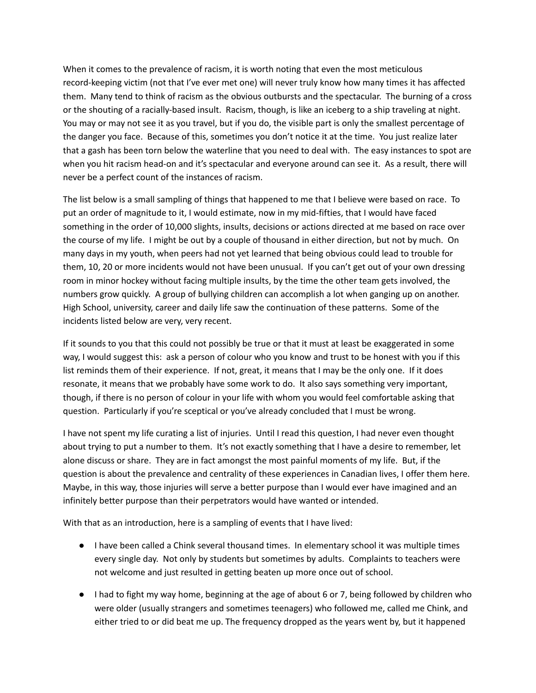When it comes to the prevalence of racism, it is worth noting that even the most meticulous record-keeping victim (not that I've ever met one) will never truly know how many times it has affected them. Many tend to think of racism as the obvious outbursts and the spectacular. The burning of a cross or the shouting of a racially-based insult. Racism, though, is like an iceberg to a ship traveling at night. You may or may not see it as you travel, but if you do, the visible part is only the smallest percentage of the danger you face. Because of this, sometimes you don't notice it at the time. You just realize later that a gash has been torn below the waterline that you need to deal with. The easy instances to spot are when you hit racism head-on and it's spectacular and everyone around can see it. As a result, there will never be a perfect count of the instances of racism.

The list below is a small sampling of things that happened to me that I believe were based on race. To put an order of magnitude to it, I would estimate, now in my mid-fifties, that I would have faced something in the order of 10,000 slights, insults, decisions or actions directed at me based on race over the course of my life. I might be out by a couple of thousand in either direction, but not by much. On many days in my youth, when peers had not yet learned that being obvious could lead to trouble for them, 10, 20 or more incidents would not have been unusual. If you can't get out of your own dressing room in minor hockey without facing multiple insults, by the time the other team gets involved, the numbers grow quickly. A group of bullying children can accomplish a lot when ganging up on another. High School, university, career and daily life saw the continuation of these patterns. Some of the incidents listed below are very, very recent.

If it sounds to you that this could not possibly be true or that it must at least be exaggerated in some way, I would suggest this: ask a person of colour who you know and trust to be honest with you if this list reminds them of their experience. If not, great, it means that I may be the only one. If it does resonate, it means that we probably have some work to do. It also says something very important, though, if there is no person of colour in your life with whom you would feel comfortable asking that question. Particularly if you're sceptical or you've already concluded that I must be wrong.

I have not spent my life curating a list of injuries. Until I read this question, I had never even thought about trying to put a number to them. It's not exactly something that I have a desire to remember, let alone discuss or share. They are in fact amongst the most painful moments of my life. But, if the question is about the prevalence and centrality of these experiences in Canadian lives, I offer them here. Maybe, in this way, those injuries will serve a better purpose than I would ever have imagined and an infinitely better purpose than their perpetrators would have wanted or intended.

With that as an introduction, here is a sampling of events that I have lived:

- I have been called a Chink several thousand times. In elementary school it was multiple times every single day. Not only by students but sometimes by adults. Complaints to teachers were not welcome and just resulted in getting beaten up more once out of school.
- I had to fight my way home, beginning at the age of about 6 or 7, being followed by children who were older (usually strangers and sometimes teenagers) who followed me, called me Chink, and either tried to or did beat me up. The frequency dropped as the years went by, but it happened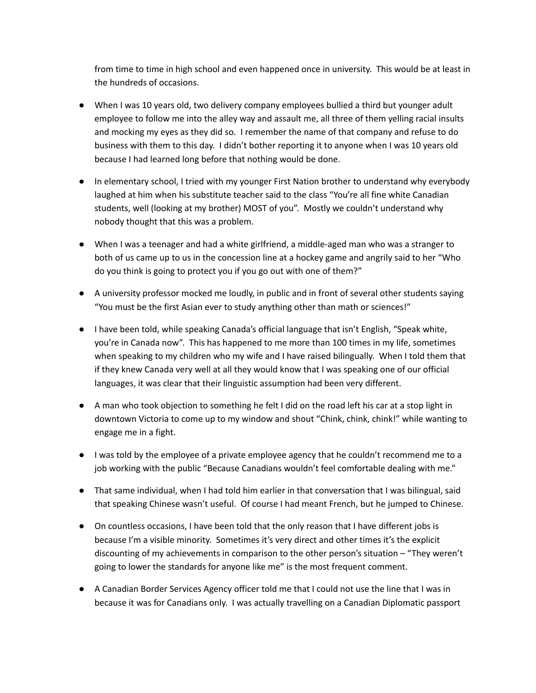from time to time in high school and even happened once in university. This would be at least in the hundreds of occasions.

- When I was 10 years old, two delivery company employees bullied a third but younger adult employee to follow me into the alley way and assault me, all three of them yelling racial insults and mocking my eyes as they did so. I remember the name of that company and refuse to do business with them to this day. I didn't bother reporting it to anyone when I was 10 years old because I had learned long before that nothing would be done.
- In elementary school, I tried with my younger First Nation brother to understand why everybody laughed at him when his substitute teacher said to the class "You're all fine white Canadian students, well (looking at my brother) MOST of you". Mostly we couldn't understand why nobody thought that this was a problem.
- When I was a teenager and had a white girlfriend, a middle-aged man who was a stranger to both of us came up to us in the concession line at a hockey game and angrily said to her "Who do you think is going to protect you if you go out with one of them?"
- A university professor mocked me loudly, in public and in front of several other students saying "You must be the first Asian ever to study anything other than math or sciences!"
- I have been told, while speaking Canada's official language that isn't English, "Speak white, you're in Canada now". This has happened to me more than 100 times in my life, sometimes when speaking to my children who my wife and I have raised bilingually. When I told them that if they knew Canada very well at all they would know that I was speaking one of our official languages, it was clear that their linguistic assumption had been very different.
- A man who took objection to something he felt I did on the road left his car at a stop light in downtown Victoria to come up to my window and shout "Chink, chink, chink!" while wanting to engage me in a fight.
- I was told by the employee of a private employee agency that he couldn't recommend me to a job working with the public "Because Canadians wouldn't feel comfortable dealing with me."
- That same individual, when I had told him earlier in that conversation that I was bilingual, said that speaking Chinese wasn't useful. Of course I had meant French, but he jumped to Chinese.
- On countless occasions, I have been told that the only reason that I have different jobs is because I'm a visible minority. Sometimes it's very direct and other times it's the explicit discounting of my achievements in comparison to the other person's situation – "They weren't going to lower the standards for anyone like me" is the most frequent comment.
- A Canadian Border Services Agency officer told me that I could not use the line that I was in because it was for Canadians only. I was actually travelling on a Canadian Diplomatic passport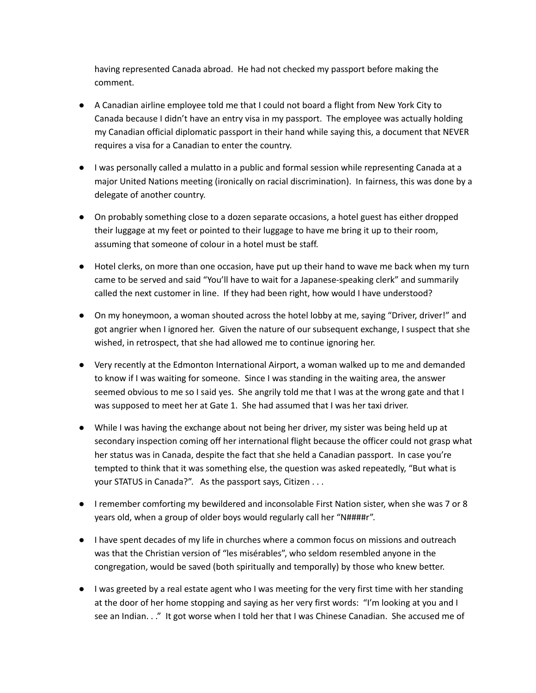having represented Canada abroad. He had not checked my passport before making the comment.

- A Canadian airline employee told me that I could not board a flight from New York City to Canada because I didn't have an entry visa in my passport. The employee was actually holding my Canadian official diplomatic passport in their hand while saying this, a document that NEVER requires a visa for a Canadian to enter the country.
- I was personally called a mulatto in a public and formal session while representing Canada at a major United Nations meeting (ironically on racial discrimination). In fairness, this was done by a delegate of another country.
- On probably something close to a dozen separate occasions, a hotel guest has either dropped their luggage at my feet or pointed to their luggage to have me bring it up to their room, assuming that someone of colour in a hotel must be staff.
- Hotel clerks, on more than one occasion, have put up their hand to wave me back when my turn came to be served and said "You'll have to wait for a Japanese-speaking clerk" and summarily called the next customer in line. If they had been right, how would I have understood?
- On my honeymoon, a woman shouted across the hotel lobby at me, saying "Driver, driver!" and got angrier when I ignored her. Given the nature of our subsequent exchange, I suspect that she wished, in retrospect, that she had allowed me to continue ignoring her.
- Very recently at the Edmonton International Airport, a woman walked up to me and demanded to know if I was waiting for someone. Since I was standing in the waiting area, the answer seemed obvious to me so I said yes. She angrily told me that I was at the wrong gate and that I was supposed to meet her at Gate 1. She had assumed that I was her taxi driver.
- While I was having the exchange about not being her driver, my sister was being held up at secondary inspection coming off her international flight because the officer could not grasp what her status was in Canada, despite the fact that she held a Canadian passport. In case you're tempted to think that it was something else, the question was asked repeatedly, "But what is your STATUS in Canada?". As the passport says, Citizen . . .
- I remember comforting my bewildered and inconsolable First Nation sister, when she was 7 or 8 years old, when a group of older boys would regularly call her "N####r".
- I have spent decades of my life in churches where a common focus on missions and outreach was that the Christian version of "les misérables", who seldom resembled anyone in the congregation, would be saved (both spiritually and temporally) by those who knew better.
- I was greeted by a real estate agent who I was meeting for the very first time with her standing at the door of her home stopping and saying as her very first words: "I'm looking at you and I see an Indian. . ." It got worse when I told her that I was Chinese Canadian. She accused me of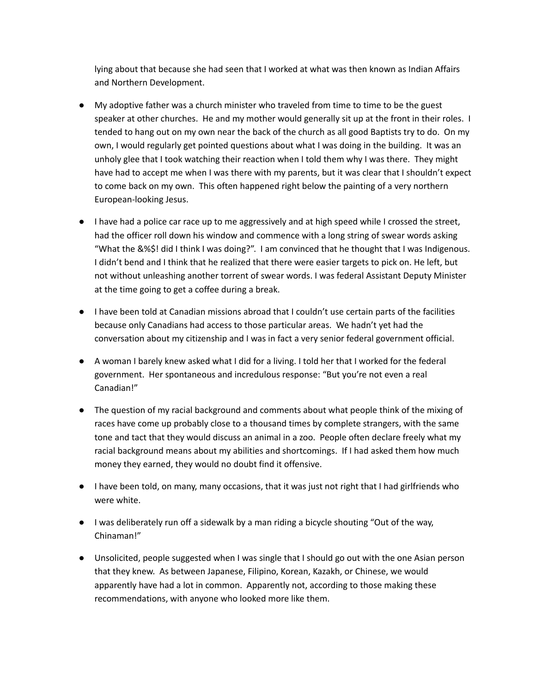lying about that because she had seen that I worked at what was then known as Indian Affairs and Northern Development.

- My adoptive father was a church minister who traveled from time to time to be the guest speaker at other churches. He and my mother would generally sit up at the front in their roles. I tended to hang out on my own near the back of the church as all good Baptists try to do. On my own, I would regularly get pointed questions about what I was doing in the building. It was an unholy glee that I took watching their reaction when I told them why I was there. They might have had to accept me when I was there with my parents, but it was clear that I shouldn't expect to come back on my own. This often happened right below the painting of a very northern European-looking Jesus.
- I have had a police car race up to me aggressively and at high speed while I crossed the street, had the officer roll down his window and commence with a long string of swear words asking "What the &%\$! did I think I was doing?". I am convinced that he thought that I was Indigenous. I didn't bend and I think that he realized that there were easier targets to pick on. He left, but not without unleashing another torrent of swear words. I was federal Assistant Deputy Minister at the time going to get a coffee during a break.
- I have been told at Canadian missions abroad that I couldn't use certain parts of the facilities because only Canadians had access to those particular areas. We hadn't yet had the conversation about my citizenship and I was in fact a very senior federal government official.
- A woman I barely knew asked what I did for a living. I told her that I worked for the federal government. Her spontaneous and incredulous response: "But you're not even a real Canadian!"
- The question of my racial background and comments about what people think of the mixing of races have come up probably close to a thousand times by complete strangers, with the same tone and tact that they would discuss an animal in a zoo. People often declare freely what my racial background means about my abilities and shortcomings. If I had asked them how much money they earned, they would no doubt find it offensive.
- I have been told, on many, many occasions, that it was just not right that I had girlfriends who were white.
- I was deliberately run off a sidewalk by a man riding a bicycle shouting "Out of the way, Chinaman!"
- Unsolicited, people suggested when I was single that I should go out with the one Asian person that they knew. As between Japanese, Filipino, Korean, Kazakh, or Chinese, we would apparently have had a lot in common. Apparently not, according to those making these recommendations, with anyone who looked more like them.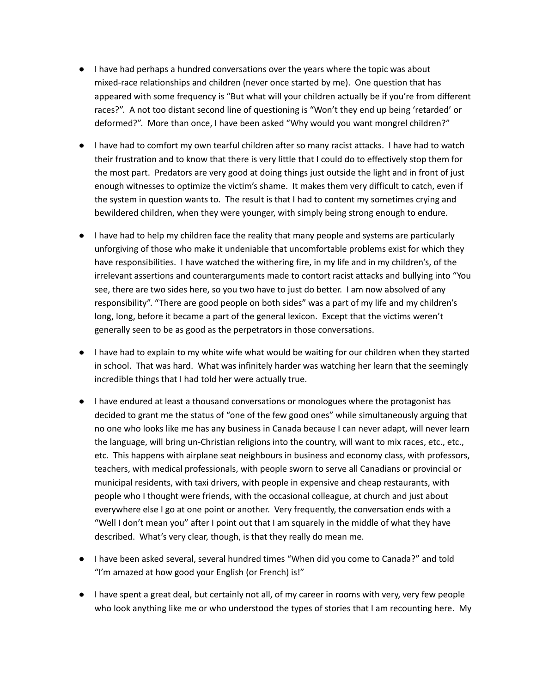- I have had perhaps a hundred conversations over the years where the topic was about mixed-race relationships and children (never once started by me). One question that has appeared with some frequency is "But what will your children actually be if you're from different races?". A not too distant second line of questioning is "Won't they end up being 'retarded' or deformed?". More than once, I have been asked "Why would you want mongrel children?"
- I have had to comfort my own tearful children after so many racist attacks. I have had to watch their frustration and to know that there is very little that I could do to effectively stop them for the most part. Predators are very good at doing things just outside the light and in front of just enough witnesses to optimize the victim's shame. It makes them very difficult to catch, even if the system in question wants to. The result is that I had to content my sometimes crying and bewildered children, when they were younger, with simply being strong enough to endure.
- I have had to help my children face the reality that many people and systems are particularly unforgiving of those who make it undeniable that uncomfortable problems exist for which they have responsibilities. I have watched the withering fire, in my life and in my children's, of the irrelevant assertions and counterarguments made to contort racist attacks and bullying into "You see, there are two sides here, so you two have to just do better. I am now absolved of any responsibility". "There are good people on both sides" was a part of my life and my children's long, long, before it became a part of the general lexicon. Except that the victims weren't generally seen to be as good as the perpetrators in those conversations.
- I have had to explain to my white wife what would be waiting for our children when they started in school. That was hard. What was infinitely harder was watching her learn that the seemingly incredible things that I had told her were actually true.
- I have endured at least a thousand conversations or monologues where the protagonist has decided to grant me the status of "one of the few good ones" while simultaneously arguing that no one who looks like me has any business in Canada because I can never adapt, will never learn the language, will bring un-Christian religions into the country, will want to mix races, etc., etc., etc. This happens with airplane seat neighbours in business and economy class, with professors, teachers, with medical professionals, with people sworn to serve all Canadians or provincial or municipal residents, with taxi drivers, with people in expensive and cheap restaurants, with people who I thought were friends, with the occasional colleague, at church and just about everywhere else I go at one point or another. Very frequently, the conversation ends with a "Well I don't mean you" after I point out that I am squarely in the middle of what they have described. What's very clear, though, is that they really do mean me.
- I have been asked several, several hundred times "When did you come to Canada?" and told "I'm amazed at how good your English (or French) is!"
- I have spent a great deal, but certainly not all, of my career in rooms with very, very few people who look anything like me or who understood the types of stories that I am recounting here. My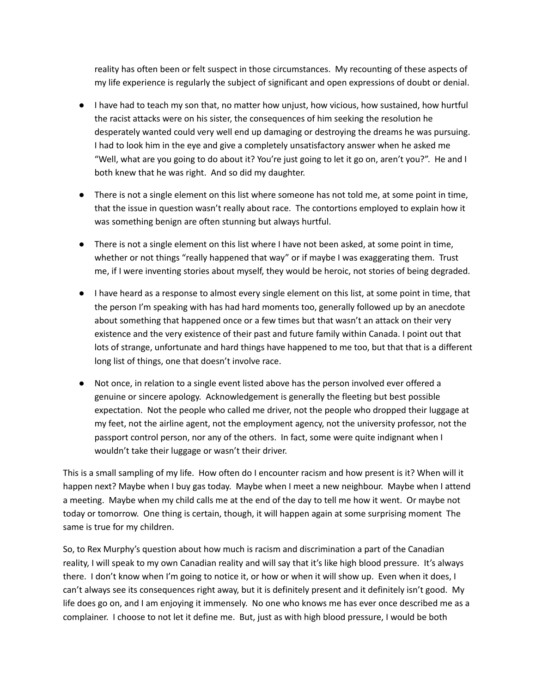reality has often been or felt suspect in those circumstances. My recounting of these aspects of my life experience is regularly the subject of significant and open expressions of doubt or denial.

- I have had to teach my son that, no matter how unjust, how vicious, how sustained, how hurtful the racist attacks were on his sister, the consequences of him seeking the resolution he desperately wanted could very well end up damaging or destroying the dreams he was pursuing. I had to look him in the eye and give a completely unsatisfactory answer when he asked me "Well, what are you going to do about it? You're just going to let it go on, aren't you?". He and I both knew that he was right. And so did my daughter.
- There is not a single element on this list where someone has not told me, at some point in time, that the issue in question wasn't really about race. The contortions employed to explain how it was something benign are often stunning but always hurtful.
- There is not a single element on this list where I have not been asked, at some point in time, whether or not things "really happened that way" or if maybe I was exaggerating them. Trust me, if I were inventing stories about myself, they would be heroic, not stories of being degraded.
- I have heard as a response to almost every single element on this list, at some point in time, that the person I'm speaking with has had hard moments too, generally followed up by an anecdote about something that happened once or a few times but that wasn't an attack on their very existence and the very existence of their past and future family within Canada. I point out that lots of strange, unfortunate and hard things have happened to me too, but that that is a different long list of things, one that doesn't involve race.
- Not once, in relation to a single event listed above has the person involved ever offered a genuine or sincere apology. Acknowledgement is generally the fleeting but best possible expectation. Not the people who called me driver, not the people who dropped their luggage at my feet, not the airline agent, not the employment agency, not the university professor, not the passport control person, nor any of the others. In fact, some were quite indignant when I wouldn't take their luggage or wasn't their driver.

This is a small sampling of my life. How often do I encounter racism and how present is it? When will it happen next? Maybe when I buy gas today. Maybe when I meet a new neighbour. Maybe when I attend a meeting. Maybe when my child calls me at the end of the day to tell me how it went. Or maybe not today or tomorrow. One thing is certain, though, it will happen again at some surprising moment The same is true for my children.

So, to Rex Murphy's question about how much is racism and discrimination a part of the Canadian reality, I will speak to my own Canadian reality and will say that it's like high blood pressure. It's always there. I don't know when I'm going to notice it, or how or when it will show up. Even when it does, I can't always see its consequences right away, but it is definitely present and it definitely isn't good. My life does go on, and I am enjoying it immensely. No one who knows me has ever once described me as a complainer. I choose to not let it define me. But, just as with high blood pressure, I would be both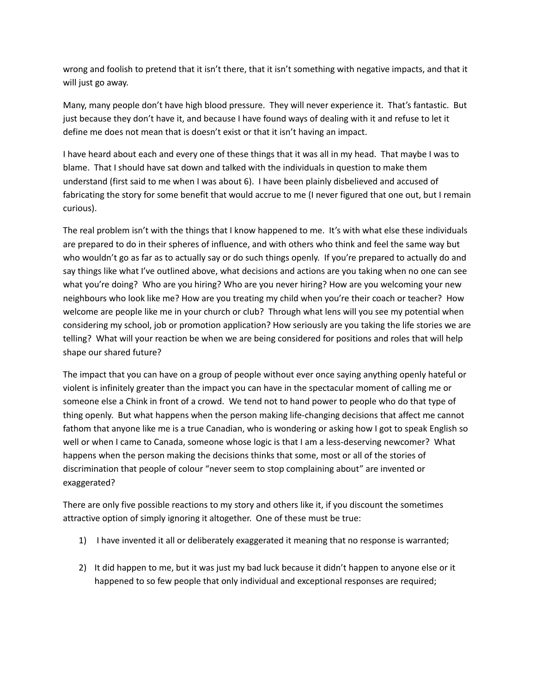wrong and foolish to pretend that it isn't there, that it isn't something with negative impacts, and that it will just go away.

Many, many people don't have high blood pressure. They will never experience it. That's fantastic. But just because they don't have it, and because I have found ways of dealing with it and refuse to let it define me does not mean that is doesn't exist or that it isn't having an impact.

I have heard about each and every one of these things that it was all in my head. That maybe I was to blame. That I should have sat down and talked with the individuals in question to make them understand (first said to me when I was about 6). I have been plainly disbelieved and accused of fabricating the story for some benefit that would accrue to me (I never figured that one out, but I remain curious).

The real problem isn't with the things that I know happened to me. It's with what else these individuals are prepared to do in their spheres of influence, and with others who think and feel the same way but who wouldn't go as far as to actually say or do such things openly. If you're prepared to actually do and say things like what I've outlined above, what decisions and actions are you taking when no one can see what you're doing? Who are you hiring? Who are you never hiring? How are you welcoming your new neighbours who look like me? How are you treating my child when you're their coach or teacher? How welcome are people like me in your church or club? Through what lens will you see my potential when considering my school, job or promotion application? How seriously are you taking the life stories we are telling? What will your reaction be when we are being considered for positions and roles that will help shape our shared future?

The impact that you can have on a group of people without ever once saying anything openly hateful or violent is infinitely greater than the impact you can have in the spectacular moment of calling me or someone else a Chink in front of a crowd. We tend not to hand power to people who do that type of thing openly. But what happens when the person making life-changing decisions that affect me cannot fathom that anyone like me is a true Canadian, who is wondering or asking how I got to speak English so well or when I came to Canada, someone whose logic is that I am a less-deserving newcomer? What happens when the person making the decisions thinks that some, most or all of the stories of discrimination that people of colour "never seem to stop complaining about" are invented or exaggerated?

There are only five possible reactions to my story and others like it, if you discount the sometimes attractive option of simply ignoring it altogether. One of these must be true:

- 1) I have invented it all or deliberately exaggerated it meaning that no response is warranted;
- 2) It did happen to me, but it was just my bad luck because it didn't happen to anyone else or it happened to so few people that only individual and exceptional responses are required;